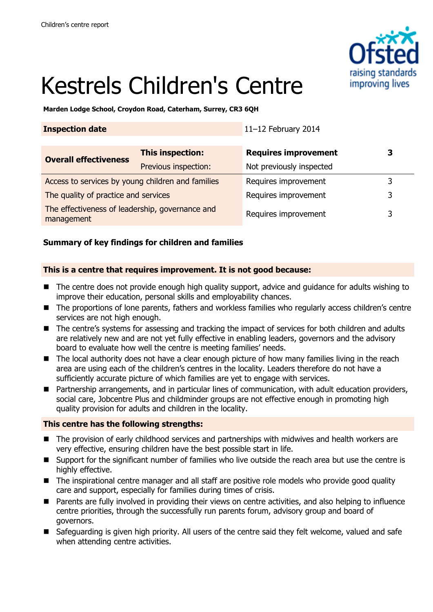

# Kestrels Children's Centre

**Marden Lodge School, Croydon Road, Caterham, Surrey, CR3 6QH**

| <b>Inspection date</b>                                        |                      | 11-12 February 2014         |   |
|---------------------------------------------------------------|----------------------|-----------------------------|---|
| <b>Overall effectiveness</b>                                  | This inspection:     | <b>Requires improvement</b> | З |
|                                                               | Previous inspection: | Not previously inspected    |   |
| Access to services by young children and families             |                      | Requires improvement        | 3 |
| The quality of practice and services                          |                      | Requires improvement        | 3 |
| The effectiveness of leadership, governance and<br>management |                      | Requires improvement        | 3 |

# **Summary of key findings for children and families**

## **This is a centre that requires improvement. It is not good because:**

- The centre does not provide enough high quality support, advice and quidance for adults wishing to improve their education, personal skills and employability chances.
- The proportions of lone parents, fathers and workless families who regularly access children's centre services are not high enough.
- The centre's systems for assessing and tracking the impact of services for both children and adults are relatively new and are not yet fully effective in enabling leaders, governors and the advisory board to evaluate how well the centre is meeting families' needs.
- The local authority does not have a clear enough picture of how many families living in the reach area are using each of the children's centres in the locality. Leaders therefore do not have a sufficiently accurate picture of which families are yet to engage with services.
- Partnership arrangements, and in particular lines of communication, with adult education providers, social care, Jobcentre Plus and childminder groups are not effective enough in promoting high quality provision for adults and children in the locality.

### **This centre has the following strengths:**

- The provision of early childhood services and partnerships with midwives and health workers are very effective, ensuring children have the best possible start in life.
- Support for the significant number of families who live outside the reach area but use the centre is highly effective.
- The inspirational centre manager and all staff are positive role models who provide good quality care and support, especially for families during times of crisis.
- Parents are fully involved in providing their views on centre activities, and also helping to influence centre priorities, through the successfully run parents forum, advisory group and board of governors.
- Safeguarding is given high priority. All users of the centre said they felt welcome, valued and safe when attending centre activities.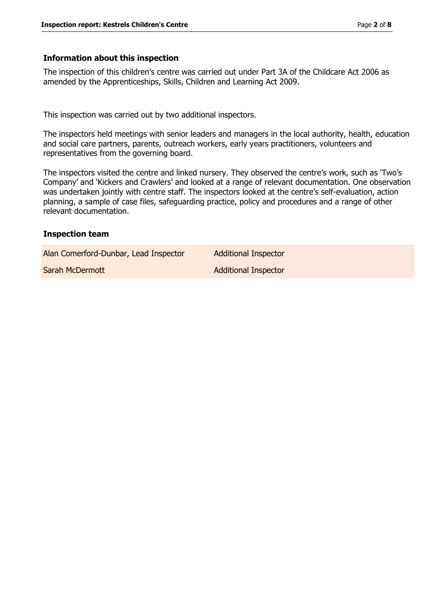#### **Information about this inspection**

The inspection of this children's centre was carried out under Part 3A of the Childcare Act 2006 as amended by the Apprenticeships, Skills, Children and Learning Act 2009.

This inspection was carried out by two additional inspectors.

The inspectors held meetings with senior leaders and managers in the local authority, health, education and social care partners, parents, outreach workers, early years practitioners, volunteers and representatives from the governing board.

The inspectors visited the centre and linked nursery. They observed the centre's work, such as 'Two's Company' and 'Kickers and Crawlers' and looked at a range of relevant documentation. One observation was undertaken jointly with centre staff. The inspectors looked at the centre's self-evaluation, action planning, a sample of case files, safeguarding practice, policy and procedures and a range of other relevant documentation.

#### **Inspection team**

| Alan Comerford-Dunbar, Lead Inspector | <b>Additional Inspector</b> |
|---------------------------------------|-----------------------------|
| Sarah McDermott                       | <b>Additional Inspector</b> |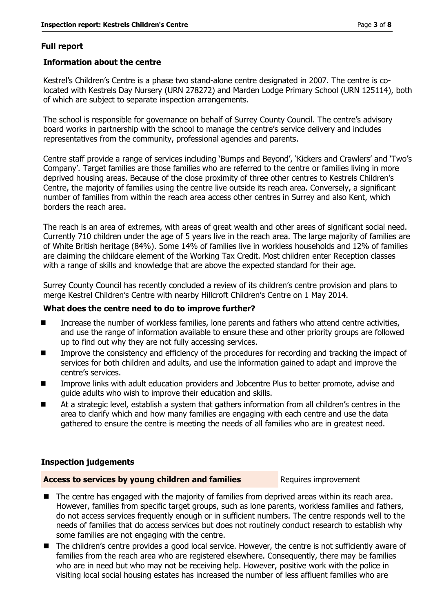# **Full report**

## **Information about the centre**

Kestrel's Children's Centre is a phase two stand-alone centre designated in 2007. The centre is colocated with Kestrels Day Nursery (URN 278272) and Marden Lodge Primary School (URN 125114), both of which are subject to separate inspection arrangements.

The school is responsible for governance on behalf of Surrey County Council. The centre's advisory board works in partnership with the school to manage the centre's service delivery and includes representatives from the community, professional agencies and parents.

Centre staff provide a range of services including 'Bumps and Beyond', 'Kickers and Crawlers' and 'Two's Company'. Target families are those families who are referred to the centre or families living in more deprived housing areas. Because of the close proximity of three other centres to Kestrels Children's Centre, the majority of families using the centre live outside its reach area. Conversely, a significant number of families from within the reach area access other centres in Surrey and also Kent, which borders the reach area.

The reach is an area of extremes, with areas of great wealth and other areas of significant social need. Currently 710 children under the age of 5 years live in the reach area. The large majority of families are of White British heritage (84%). Some 14% of families live in workless households and 12% of families are claiming the childcare element of the Working Tax Credit. Most children enter Reception classes with a range of skills and knowledge that are above the expected standard for their age.

Surrey County Council has recently concluded a review of its children's centre provision and plans to merge Kestrel Children's Centre with nearby Hillcroft Children's Centre on 1 May 2014.

## **What does the centre need to do to improve further?**

- Increase the number of workless families, lone parents and fathers who attend centre activities, and use the range of information available to ensure these and other priority groups are followed up to find out why they are not fully accessing services.
- Improve the consistency and efficiency of the procedures for recording and tracking the impact of services for both children and adults, and use the information gained to adapt and improve the centre's services.
- Improve links with adult education providers and Jobcentre Plus to better promote, advise and guide adults who wish to improve their education and skills.
- At a strategic level, establish a system that gathers information from all children's centres in the area to clarify which and how many families are engaging with each centre and use the data gathered to ensure the centre is meeting the needs of all families who are in greatest need.

# **Inspection judgements**

### **Access to services by young children and families** Requires improvement

- The centre has engaged with the majority of families from deprived areas within its reach area. However, families from specific target groups, such as lone parents, workless families and fathers, do not access services frequently enough or in sufficient numbers. The centre responds well to the needs of families that do access services but does not routinely conduct research to establish why some families are not engaging with the centre.
- The children's centre provides a good local service. However, the centre is not sufficiently aware of families from the reach area who are registered elsewhere. Consequently, there may be families who are in need but who may not be receiving help. However, positive work with the police in visiting local social housing estates has increased the number of less affluent families who are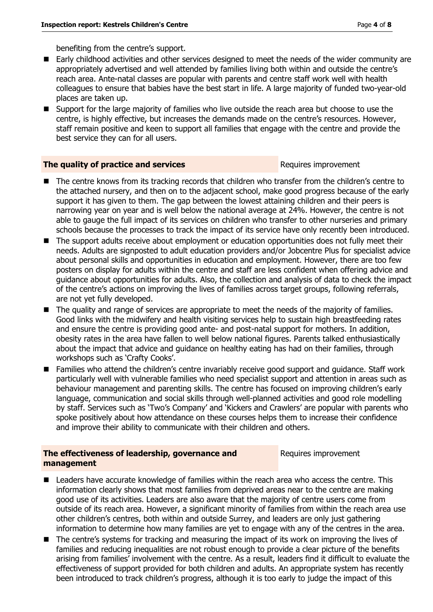benefiting from the centre's support.

- Early childhood activities and other services designed to meet the needs of the wider community are appropriately advertised and well attended by families living both within and outside the centre's reach area. Ante-natal classes are popular with parents and centre staff work well with health colleagues to ensure that babies have the best start in life. A large majority of funded two-year-old places are taken up.
- Support for the large majority of families who live outside the reach area but choose to use the centre, is highly effective, but increases the demands made on the centre's resources. However, staff remain positive and keen to support all families that engage with the centre and provide the best service they can for all users.

### **The quality of practice and services Requires Requires** improvement

- The centre knows from its tracking records that children who transfer from the children's centre to the attached nursery, and then on to the adjacent school, make good progress because of the early support it has given to them. The gap between the lowest attaining children and their peers is narrowing year on year and is well below the national average at 24%. However, the centre is not able to gauge the full impact of its services on children who transfer to other nurseries and primary schools because the processes to track the impact of its service have only recently been introduced.
- The support adults receive about employment or education opportunities does not fully meet their needs. Adults are signposted to adult education providers and/or Jobcentre Plus for specialist advice about personal skills and opportunities in education and employment. However, there are too few posters on display for adults within the centre and staff are less confident when offering advice and guidance about opportunities for adults. Also, the collection and analysis of data to check the impact of the centre's actions on improving the lives of families across target groups, following referrals, are not yet fully developed.
- The quality and range of services are appropriate to meet the needs of the majority of families. Good links with the midwifery and health visiting services help to sustain high breastfeeding rates and ensure the centre is providing good ante- and post-natal support for mothers. In addition, obesity rates in the area have fallen to well below national figures. Parents talked enthusiastically about the impact that advice and guidance on healthy eating has had on their families, through workshops such as 'Crafty Cooks'.
- Families who attend the children's centre invariably receive good support and guidance. Staff work particularly well with vulnerable families who need specialist support and attention in areas such as behaviour management and parenting skills. The centre has focused on improving children's early language, communication and social skills through well-planned activities and good role modelling by staff. Services such as 'Two's Company' and 'Kickers and Crawlers' are popular with parents who spoke positively about how attendance on these courses helps them to increase their confidence and improve their ability to communicate with their children and others.

### **The effectiveness of leadership, governance and management**

Requires improvement

- Leaders have accurate knowledge of families within the reach area who access the centre. This information clearly shows that most families from deprived areas near to the centre are making good use of its activities. Leaders are also aware that the majority of centre users come from outside of its reach area. However, a significant minority of families from within the reach area use other children's centres, both within and outside Surrey, and leaders are only just gathering information to determine how many families are yet to engage with any of the centres in the area.
- The centre's systems for tracking and measuring the impact of its work on improving the lives of families and reducing inequalities are not robust enough to provide a clear picture of the benefits arising from families' involvement with the centre. As a result, leaders find it difficult to evaluate the effectiveness of support provided for both children and adults. An appropriate system has recently been introduced to track children's progress, although it is too early to judge the impact of this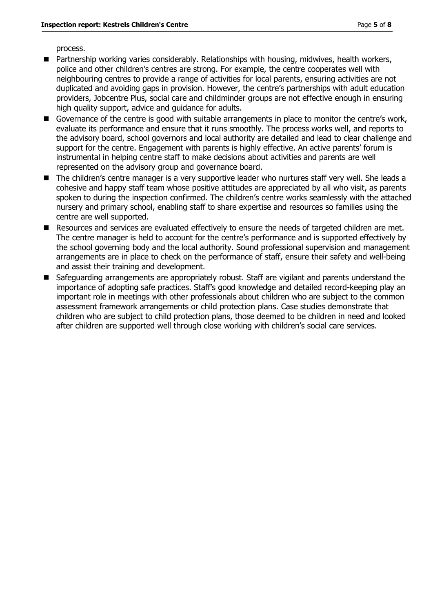process.

- Partnership working varies considerably. Relationships with housing, midwives, health workers, police and other children's centres are strong. For example, the centre cooperates well with neighbouring centres to provide a range of activities for local parents, ensuring activities are not duplicated and avoiding gaps in provision. However, the centre's partnerships with adult education providers, Jobcentre Plus, social care and childminder groups are not effective enough in ensuring high quality support, advice and guidance for adults.
- Governance of the centre is good with suitable arrangements in place to monitor the centre's work, evaluate its performance and ensure that it runs smoothly. The process works well, and reports to the advisory board, school governors and local authority are detailed and lead to clear challenge and support for the centre. Engagement with parents is highly effective. An active parents' forum is instrumental in helping centre staff to make decisions about activities and parents are well represented on the advisory group and governance board.
- The children's centre manager is a very supportive leader who nurtures staff very well. She leads a cohesive and happy staff team whose positive attitudes are appreciated by all who visit, as parents spoken to during the inspection confirmed. The children's centre works seamlessly with the attached nursery and primary school, enabling staff to share expertise and resources so families using the centre are well supported.
- Resources and services are evaluated effectively to ensure the needs of targeted children are met. The centre manager is held to account for the centre's performance and is supported effectively by the school governing body and the local authority. Sound professional supervision and management arrangements are in place to check on the performance of staff, ensure their safety and well-being and assist their training and development.
- Safeguarding arrangements are appropriately robust. Staff are vigilant and parents understand the importance of adopting safe practices. Staff's good knowledge and detailed record-keeping play an important role in meetings with other professionals about children who are subject to the common assessment framework arrangements or child protection plans. Case studies demonstrate that children who are subject to child protection plans, those deemed to be children in need and looked after children are supported well through close working with children's social care services.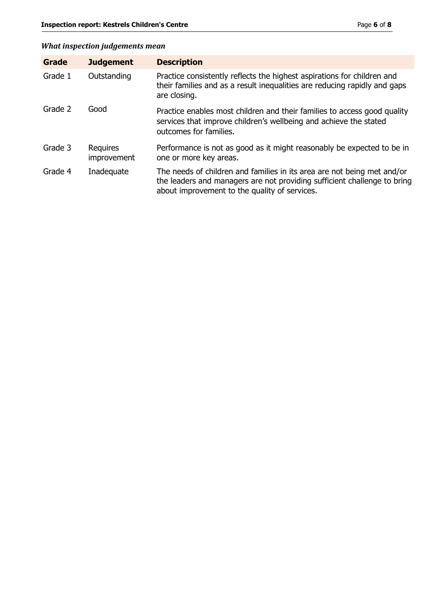# *What inspection judgements mean*

| Grade   | <b>Judgement</b>        | <b>Description</b>                                                                                                                                                                                   |
|---------|-------------------------|------------------------------------------------------------------------------------------------------------------------------------------------------------------------------------------------------|
| Grade 1 | Outstanding             | Practice consistently reflects the highest aspirations for children and<br>their families and as a result inequalities are reducing rapidly and gaps<br>are closing.                                 |
| Grade 2 | Good                    | Practice enables most children and their families to access good quality<br>services that improve children's wellbeing and achieve the stated<br>outcomes for families.                              |
| Grade 3 | Requires<br>improvement | Performance is not as good as it might reasonably be expected to be in<br>one or more key areas.                                                                                                     |
| Grade 4 | Inadequate              | The needs of children and families in its area are not being met and/or<br>the leaders and managers are not providing sufficient challenge to bring<br>about improvement to the quality of services. |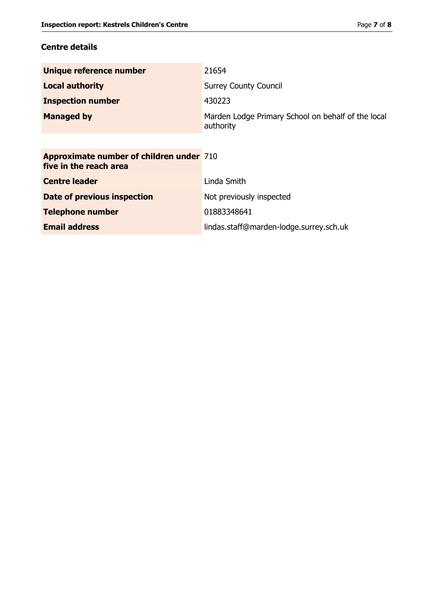# **Centre details**

| Unique reference number                                                   | 21654                                                           |
|---------------------------------------------------------------------------|-----------------------------------------------------------------|
| <b>Local authority</b>                                                    | <b>Surrey County Council</b>                                    |
| <b>Inspection number</b>                                                  | 430223                                                          |
| <b>Managed by</b>                                                         | Marden Lodge Primary School on behalf of the local<br>authority |
|                                                                           |                                                                 |
| <b>Approximate number of children under 710</b><br>five in the reach area |                                                                 |
| <b>Centre leader</b>                                                      | Linda Smith                                                     |
| Date of previous inspection                                               | Not previously inspected                                        |

**Telephone number** 01883348641

**Email address** lindas.staff@marden-lodge.surrey.sch.uk